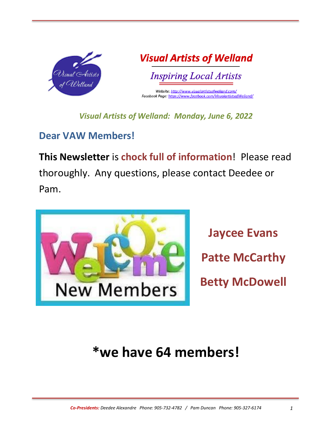

**Visual Artists of Welland** 

**Inspiring Local Artists** 

Website: http://www.visualartistsofwelland.com/ Facebook Page: https://www.facebook.com/VisualartistsofWelland/

*Visual Artists of Welland: Monday, June 6, 2022*

### **Dear VAW Members!**

**This Newsletter** is **chock full of information**! Please read thoroughly. Any questions, please contact Deedee or Pam.



**Jaycee Evans Patte McCarthy Betty McDowell**

# **\*we have 64 members!**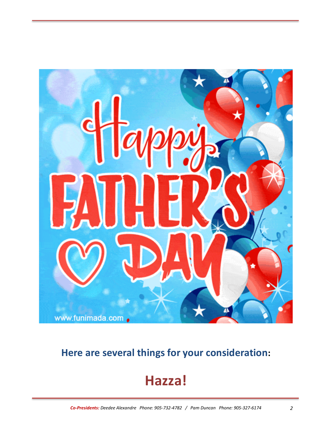

## **Here are several things for your consideration:**

## **Hazza!**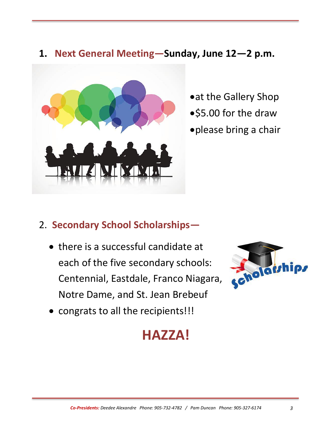#### **1. Next General Meeting—Sunday, June 12—2 p.m.**



- •at the Gallery Shop
- •\$5.00 for the draw
- •please bring a chair

## 2. **Secondary School Scholarships—**

• there is a successful candidate at each of the five secondary schools: Centennial, Eastdale, Franco Niagara, Notre Dame, and St. Jean Brebeuf



• congrats to all the recipients!!!

## **HAZZA!**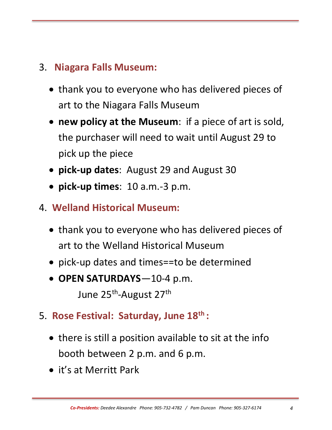## 3. **Niagara Falls Museum:**

- thank you to everyone who has delivered pieces of art to the Niagara Falls Museum
- **new policy at the Museum**: if a piece of art is sold, the purchaser will need to wait until August 29 to pick up the piece
- **pick-up dates**: August 29 and August 30
- **pick-up times**: 10 a.m.-3 p.m.
- 4. **Welland Historical Museum:**
	- thank you to everyone who has delivered pieces of art to the Welland Historical Museum
	- pick-up dates and times==to be determined
	- **OPEN SATURDAYS**—10-4 p.m. June 25<sup>th</sup>-August 27<sup>th</sup>
- 5. **Rose Festival: Saturday, June 18th :**
	- there is still a position available to sit at the info booth between 2 p.m. and 6 p.m.
	- it's at Merritt Park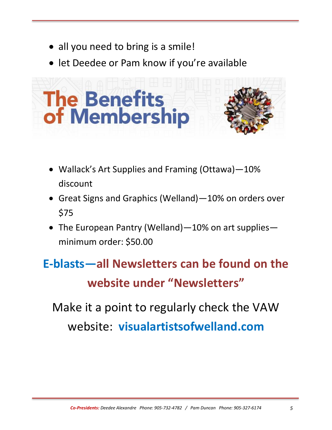- all you need to bring is a smile!
- let Deedee or Pam know if you're available



- Wallack's Art Supplies and Framing (Ottawa)—10% discount
- Great Signs and Graphics (Welland)—10% on orders over \$75
- The European Pantry (Welland) 10% on art supplies minimum order: \$50.00

# **E-blasts—all Newsletters can be found on the website under "Newsletters"**

Make it a point to regularly check the VAW website: **visualartistsofwelland.com**